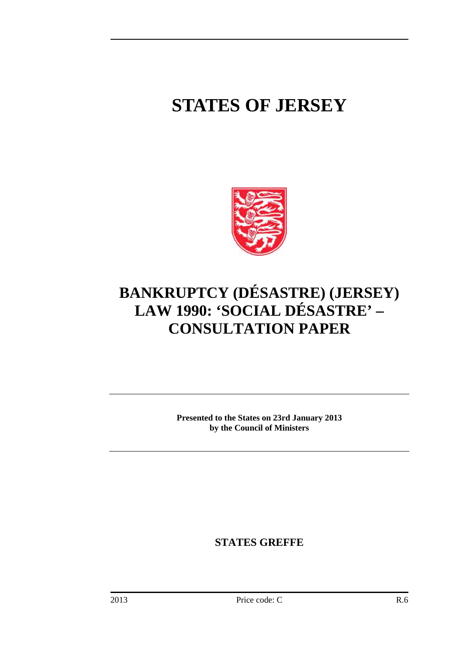# **STATES OF JERSEY**



# **BANKRUPTCY (DÉSASTRE) (JERSEY) LAW 1990: 'SOCIAL DÉSASTRE' – CONSULTATION PAPER**

**Presented to the States on 23rd January 2013 by the Council of Ministers** 

**STATES GREFFE**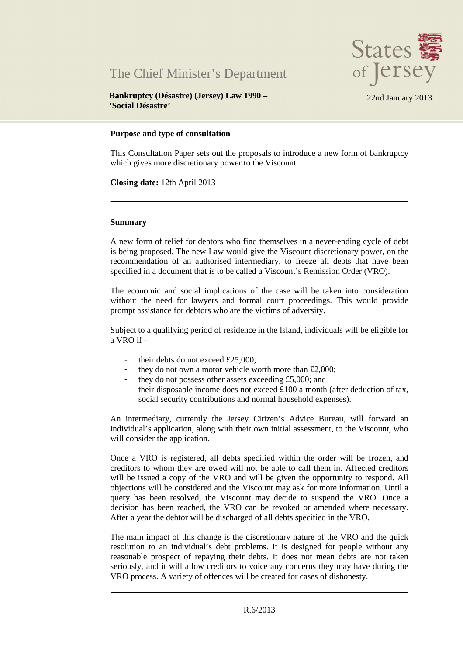



**Bankruptcy (Désastre) (Jersey) Law 1990 – 'Social Désastre'** 

22nd January 2013

#### **Purpose and type of consultation**

This Consultation Paper sets out the proposals to introduce a new form of bankruptcy which gives more discretionary power to the Viscount.

**Closing date:** 12th April 2013

#### **Summary**

A new form of relief for debtors who find themselves in a never-ending cycle of debt is being proposed. The new Law would give the Viscount discretionary power, on the recommendation of an authorised intermediary, to freeze all debts that have been specified in a document that is to be called a Viscount's Remission Order (VRO).

The economic and social implications of the case will be taken into consideration without the need for lawyers and formal court proceedings. This would provide prompt assistance for debtors who are the victims of adversity.

Subject to a qualifying period of residence in the Island, individuals will be eligible for a VRO if –

- their debts do not exceed £25,000;
- they do not own a motor vehicle worth more than  $£2,000;$
- they do not possess other assets exceeding £5,000; and
- their disposable income does not exceed  $£100$  a month (after deduction of tax, social security contributions and normal household expenses).

An intermediary, currently the Jersey Citizen's Advice Bureau, will forward an individual's application, along with their own initial assessment, to the Viscount, who will consider the application.

Once a VRO is registered, all debts specified within the order will be frozen, and creditors to whom they are owed will not be able to call them in. Affected creditors will be issued a copy of the VRO and will be given the opportunity to respond. All objections will be considered and the Viscount may ask for more information. Until a query has been resolved, the Viscount may decide to suspend the VRO. Once a decision has been reached, the VRO can be revoked or amended where necessary. After a year the debtor will be discharged of all debts specified in the VRO.

The main impact of this change is the discretionary nature of the VRO and the quick resolution to an individual's debt problems. It is designed for people without any reasonable prospect of repaying their debts. It does not mean debts are not taken seriously, and it will allow creditors to voice any concerns they may have during the VRO process. A variety of offences will be created for cases of dishonesty.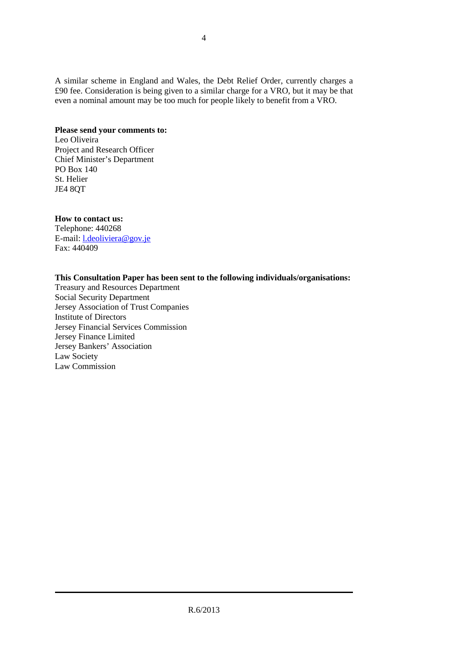A similar scheme in England and Wales, the Debt Relief Order, currently charges a £90 fee. Consideration is being given to a similar charge for a VRO, but it may be that even a nominal amount may be too much for people likely to benefit from a VRO.

# **Please send your comments to:**

Leo Oliveira Project and Research Officer Chief Minister's Department PO Box 140 St. Helier JE4 8QT

# **How to contact us:**

Telephone: 440268 E-mail: l.deoliviera@gov.je Fax: 440409

# **This Consultation Paper has been sent to the following individuals/organisations:**

Treasury and Resources Department Social Security Department Jersey Association of Trust Companies Institute of Directors Jersey Financial Services Commission Jersey Finance Limited Jersey Bankers' Association Law Society Law Commission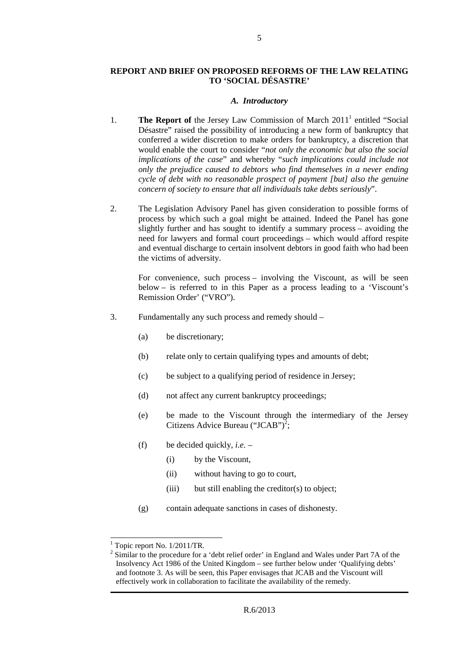## **REPORT AND BRIEF ON PROPOSED REFORMS OF THE LAW RELATING TO 'SOCIAL DÉSASTRE'**

5

#### *A. Introductory*

- 1. **The Report of** the Jersey Law Commission of March 2011<sup>1</sup> entitled "Social" Désastre" raised the possibility of introducing a new form of bankruptcy that conferred a wider discretion to make orders for bankruptcy, a discretion that would enable the court to consider "*not only the economic but also the social implications of the case*" and whereby "*such implications could include not only the prejudice caused to debtors who find themselves in a never ending cycle of debt with no reasonable prospect of payment [but] also the genuine concern of society to ensure that all individuals take debts seriously*".
- 2. The Legislation Advisory Panel has given consideration to possible forms of process by which such a goal might be attained. Indeed the Panel has gone slightly further and has sought to identify a summary process – avoiding the need for lawyers and formal court proceedings – which would afford respite and eventual discharge to certain insolvent debtors in good faith who had been the victims of adversity.

For convenience, such process – involving the Viscount, as will be seen below – is referred to in this Paper as a process leading to a 'Viscount's Remission Order' ("VRO").

- 3. Fundamentally any such process and remedy should
	- (a) be discretionary;
	- (b) relate only to certain qualifying types and amounts of debt;
	- (c) be subject to a qualifying period of residence in Jersey;
	- (d) not affect any current bankruptcy proceedings;
	- (e) be made to the Viscount through the intermediary of the Jersey Citizens Advice Bureau ("JCAB")<sup>2</sup>;
	- (f) be decided quickly, *i.e.*
		- (i) by the Viscount,
		- (ii) without having to go to court,
		- $(iii)$  but still enabling the creditor(s) to object;
	- (g) contain adequate sanctions in cases of dishonesty.

 $\overline{a}$ 

 $<sup>1</sup>$  Topic report No. 1/2011/TR.</sup>

 $2^{2}$  Similar to the procedure for a 'debt relief order' in England and Wales under Part 7A of the Insolvency Act 1986 of the United Kingdom – see further below under 'Qualifying debts' and footnote 3. As will be seen, this Paper envisages that JCAB and the Viscount will effectively work in collaboration to facilitate the availability of the remedy.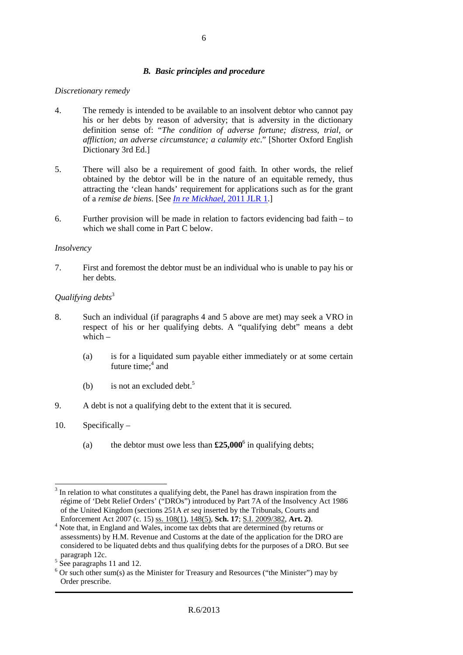# *B. Basic principles and procedure*

#### *Discretionary remedy*

- 4. The remedy is intended to be available to an insolvent debtor who cannot pay his or her debts by reason of adversity; that is adversity in the dictionary definition sense of: "*The condition of adverse fortune; distress, trial, or affliction; an adverse circumstance; a calamity etc*." [Shorter Oxford English Dictionary 3rd Ed.]
- 5. There will also be a requirement of good faith. In other words, the relief obtained by the debtor will be in the nature of an equitable remedy, thus attracting the 'clean hands' requirement for applications such as for the grant of a *remise de biens*. [See *In re Mickhael*, 2011 JLR 1.]
- 6. Further provision will be made in relation to factors evidencing bad faith to which we shall come in Part C below.

#### *Insolvency*

7. First and foremost the debtor must be an individual who is unable to pay his or her debts.

## *Qualifying debts*<sup>3</sup>

- 8. Such an individual (if paragraphs 4 and 5 above are met) may seek a VRO in respect of his or her qualifying debts. A "qualifying debt" means a debt which  $-$ 
	- (a) is for a liquidated sum payable either immediately or at some certain future time; $4$  and
	- (b) is not an excluded debt.<sup>5</sup>
- 9. A debt is not a qualifying debt to the extent that it is secured.
- 10. Specifically
	- (a) the debtor must owe less than  $£25,000^6$  in qualifying debts;

 $\overline{a}$  $3$  In relation to what constitutes a qualifying debt, the Panel has drawn inspiration from the régime of 'Debt Relief Orders' ("DROs") introduced by Part 7A of the Insolvency Act 1986 of the United Kingdom (sections 251A *et seq* inserted by the Tribunals, Courts and Enforcement Act 2007 (c. 15) ss. 108(1), 148(5), **Sch. 17**; S.I. 2009/382, **Art. 2)**.

<sup>&</sup>lt;sup>4</sup> Note that, in England and Wales, income tax debts that are determined (by returns or assessments) by H.M. Revenue and Customs at the date of the application for the DRO are considered to be liquated debts and thus qualifying debts for the purposes of a DRO. But see paragraph 12c.

<sup>&</sup>lt;sup>5</sup> See paragraphs 11 and 12.

 $6$  Or such other sum(s) as the Minister for Treasury and Resources ("the Minister") may by Order prescribe.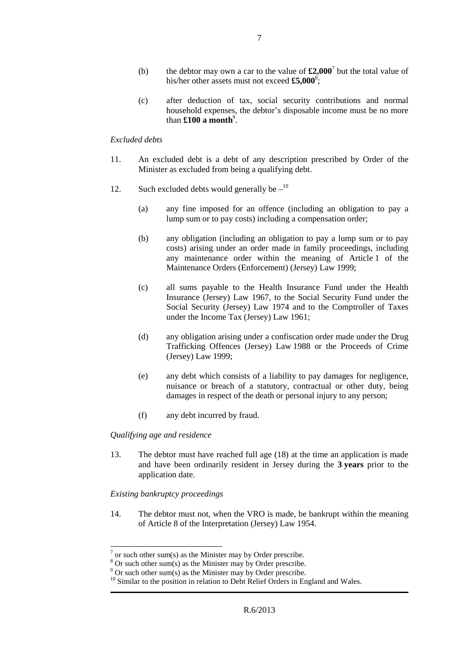- (b) the debtor may own a car to the value of  $\pounds2,000^7$  but the total value of his/her other assets must not exceed **£5,000**<sup>8</sup> ;
- (c) after deduction of tax, social security contributions and normal household expenses, the debtor's disposable income must be no more than  $\pmb{\pounds}$ **100 a month**<sup>9</sup>.

#### *Excluded debts*

- 11. An excluded debt is a debt of any description prescribed by Order of the Minister as excluded from being a qualifying debt.
- 12. Such excluded debts would generally be  $-$ <sup>10</sup>
	- (a) any fine imposed for an offence (including an obligation to pay a lump sum or to pay costs) including a compensation order;
	- (b) any obligation (including an obligation to pay a lump sum or to pay costs) arising under an order made in family proceedings, including any maintenance order within the meaning of Article 1 of the Maintenance Orders (Enforcement) (Jersey) Law 1999;
	- (c) all sums payable to the Health Insurance Fund under the Health Insurance (Jersey) Law 1967, to the Social Security Fund under the Social Security (Jersey) Law 1974 and to the Comptroller of Taxes under the Income Tax (Jersey) Law 1961;
	- (d) any obligation arising under a confiscation order made under the Drug Trafficking Offences (Jersey) Law 1988 or the Proceeds of Crime (Jersey) Law 1999;
	- (e) any debt which consists of a liability to pay damages for negligence, nuisance or breach of a statutory, contractual or other duty, being damages in respect of the death or personal injury to any person;
	- (f) any debt incurred by fraud.

#### *Qualifying age and residence*

13. The debtor must have reached full age (18) at the time an application is made and have been ordinarily resident in Jersey during the **3 years** prior to the application date.

#### *Existing bankruptcy proceedings*

14. The debtor must not, when the VRO is made, be bankrupt within the meaning of Article 8 of the Interpretation (Jersey) Law 1954.

 $\overline{a}$  $7$  or such other sum(s) as the Minister may by Order prescribe.

 $8$  Or such other sum(s) as the Minister may by Order prescribe.

 $9^9$  Or such other sum(s) as the Minister may by Order prescribe.

<sup>&</sup>lt;sup>10</sup> Similar to the position in relation to Debt Relief Orders in England and Wales.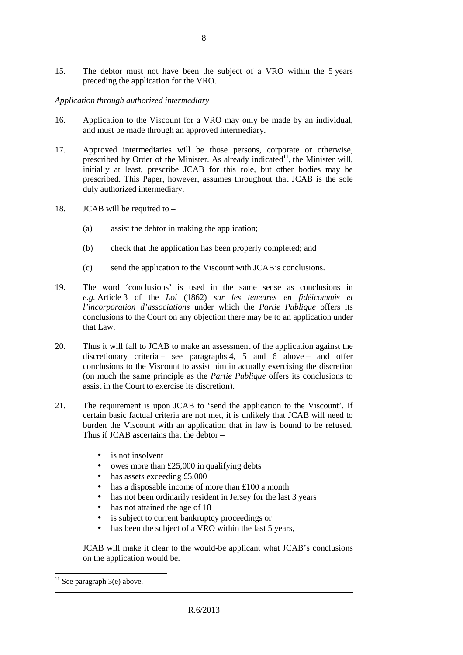15. The debtor must not have been the subject of a VRO within the 5 years preceding the application for the VRO.

# *Application through authorized intermediary*

- 16. Application to the Viscount for a VRO may only be made by an individual, and must be made through an approved intermediary.
- 17. Approved intermediaries will be those persons, corporate or otherwise, prescribed by Order of the Minister. As already indicated<sup>11</sup>, the Minister will, initially at least, prescribe JCAB for this role, but other bodies may be prescribed. This Paper, however, assumes throughout that JCAB is the sole duly authorized intermediary.
- 18. JCAB will be required to
	- (a) assist the debtor in making the application;
	- (b) check that the application has been properly completed; and
	- (c) send the application to the Viscount with JCAB's conclusions.
- 19. The word 'conclusions' is used in the same sense as conclusions in *e.g.* Article 3 of the *Loi* (1862) *sur les teneures en fidéicommis et l'incorporation d'associations* under which the *Partie Publique* offers its conclusions to the Court on any objection there may be to an application under that Law.
- 20. Thus it will fall to JCAB to make an assessment of the application against the discretionary criteria – see paragraphs 4, 5 and 6 above – and offer conclusions to the Viscount to assist him in actually exercising the discretion (on much the same principle as the *Partie Publique* offers its conclusions to assist in the Court to exercise its discretion).
- 21. The requirement is upon JCAB to 'send the application to the Viscount'. If certain basic factual criteria are not met, it is unlikely that JCAB will need to burden the Viscount with an application that in law is bound to be refused. Thus if JCAB ascertains that the debtor –
	- is not insolvent
	- owes more than £25,000 in qualifying debts
	- has assets exceeding £5,000
	- has a disposable income of more than £100 a month
	- has not been ordinarily resident in Jersey for the last 3 years
	- has not attained the age of 18
	- is subject to current bankruptcy proceedings or
	- has been the subject of a VRO within the last 5 years,

JCAB will make it clear to the would-be applicant what JCAB's conclusions on the application would be.

 $\overline{a}$  $11$  See paragraph 3(e) above.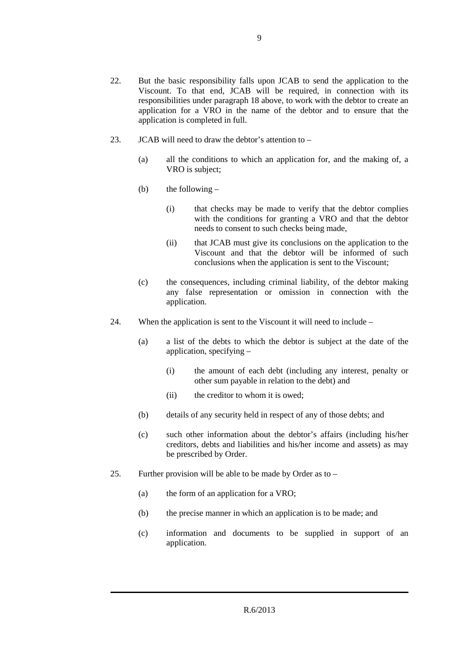- 23. JCAB will need to draw the debtor's attention to
	- (a) all the conditions to which an application for, and the making of, a VRO is subject;
	- (b) the following  $-$ 
		- (i) that checks may be made to verify that the debtor complies with the conditions for granting a VRO and that the debtor needs to consent to such checks being made,
		- (ii) that JCAB must give its conclusions on the application to the Viscount and that the debtor will be informed of such conclusions when the application is sent to the Viscount;
	- (c) the consequences, including criminal liability, of the debtor making any false representation or omission in connection with the application.
- 24. When the application is sent to the Viscount it will need to include
	- (a) a list of the debts to which the debtor is subject at the date of the application, specifying –
		- (i) the amount of each debt (including any interest, penalty or other sum payable in relation to the debt) and
		- (ii) the creditor to whom it is owed:
	- (b) details of any security held in respect of any of those debts; and
	- (c) such other information about the debtor's affairs (including his/her creditors, debts and liabilities and his/her income and assets) as may be prescribed by Order.
- 25. Further provision will be able to be made by Order as to
	- (a) the form of an application for a VRO;
	- (b) the precise manner in which an application is to be made; and
	- (c) information and documents to be supplied in support of an application.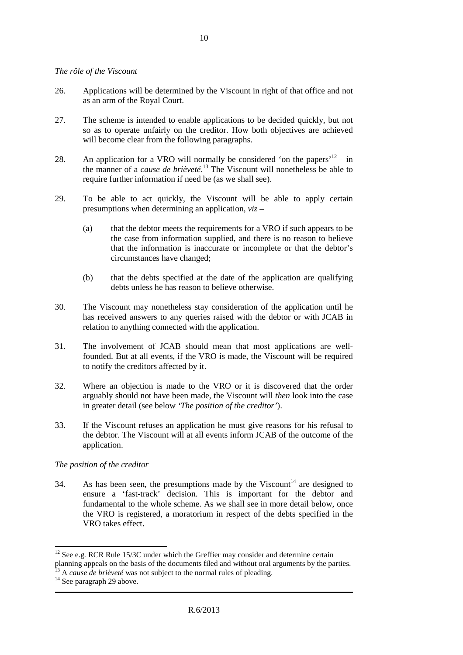#### *The rôle of the Viscount*

- 26. Applications will be determined by the Viscount in right of that office and not as an arm of the Royal Court.
- 27. The scheme is intended to enable applications to be decided quickly, but not so as to operate unfairly on the creditor. How both objectives are achieved will become clear from the following paragraphs.
- 28. An application for a VRO will normally be considered 'on the papers'<sup>12</sup> in the manner of a *cause de brièveté*. <sup>13</sup> The Viscount will nonetheless be able to require further information if need be (as we shall see).
- 29. To be able to act quickly, the Viscount will be able to apply certain presumptions when determining an application, *viz* –
	- (a) that the debtor meets the requirements for a VRO if such appears to be the case from information supplied, and there is no reason to believe that the information is inaccurate or incomplete or that the debtor's circumstances have changed;
	- (b) that the debts specified at the date of the application are qualifying debts unless he has reason to believe otherwise.
- 30. The Viscount may nonetheless stay consideration of the application until he has received answers to any queries raised with the debtor or with JCAB in relation to anything connected with the application.
- 31. The involvement of JCAB should mean that most applications are wellfounded. But at all events, if the VRO is made, the Viscount will be required to notify the creditors affected by it.
- 32. Where an objection is made to the VRO or it is discovered that the order arguably should not have been made, the Viscount will *then* look into the case in greater detail (see below *'The position of the creditor'*).
- 33. If the Viscount refuses an application he must give reasons for his refusal to the debtor. The Viscount will at all events inform JCAB of the outcome of the application.

#### *The position of the creditor*

34. As has been seen, the presumptions made by the Viscount<sup>14</sup> are designed to ensure a 'fast-track' decision. This is important for the debtor and fundamental to the whole scheme. As we shall see in more detail below, once the VRO is registered, a moratorium in respect of the debts specified in the VRO takes effect.

 $\overline{a}$ 

<sup>&</sup>lt;sup>12</sup> See e.g. RCR Rule 15/3C under which the Greffier may consider and determine certain planning appeals on the basis of the documents filed and without oral arguments by the parties.

<sup>&</sup>lt;sup>3</sup> A *cause de brièveté* was not subject to the normal rules of pleading.

<sup>&</sup>lt;sup>14</sup> See paragraph 29 above.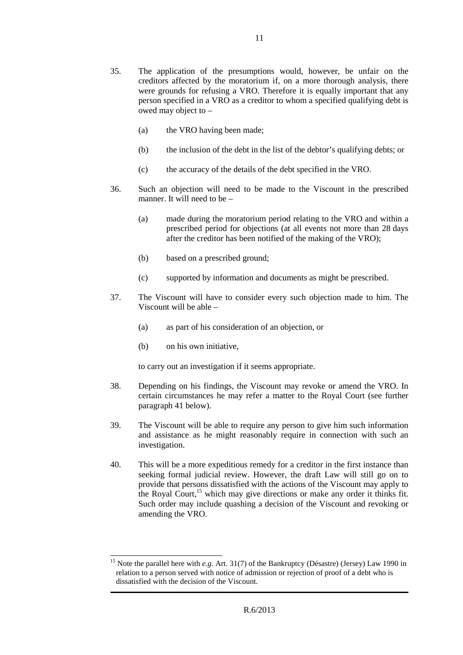- 35. The application of the presumptions would, however, be unfair on the creditors affected by the moratorium if, on a more thorough analysis, there were grounds for refusing a VRO. Therefore it is equally important that any person specified in a VRO as a creditor to whom a specified qualifying debt is owed may object to –
	- (a) the VRO having been made;
	- (b) the inclusion of the debt in the list of the debtor's qualifying debts; or
	- (c) the accuracy of the details of the debt specified in the VRO.
- 36. Such an objection will need to be made to the Viscount in the prescribed manner. It will need to be –
	- (a) made during the moratorium period relating to the VRO and within a prescribed period for objections (at all events not more than 28 days after the creditor has been notified of the making of the VRO);
	- (b) based on a prescribed ground;
	- (c) supported by information and documents as might be prescribed.
- 37. The Viscount will have to consider every such objection made to him. The Viscount will be able –
	- (a) as part of his consideration of an objection, or
	- (b) on his own initiative,

 $\overline{a}$ 

to carry out an investigation if it seems appropriate.

- 38. Depending on his findings, the Viscount may revoke or amend the VRO. In certain circumstances he may refer a matter to the Royal Court (see further paragraph 41 below).
- 39. The Viscount will be able to require any person to give him such information and assistance as he might reasonably require in connection with such an investigation.
- 40. This will be a more expeditious remedy for a creditor in the first instance than seeking formal judicial review. However, the draft Law will still go on to provide that persons dissatisfied with the actions of the Viscount may apply to the Royal Court,<sup>15</sup> which may give directions or make any order it thinks fit. Such order may include quashing a decision of the Viscount and revoking or amending the VRO.

<sup>&</sup>lt;sup>15</sup> Note the parallel here with *e.g.* Art. 31(7) of the Bankruptcy (Désastre) (Jersey) Law 1990 in relation to a person served with notice of admission or rejection of proof of a debt who is dissatisfied with the decision of the Viscount.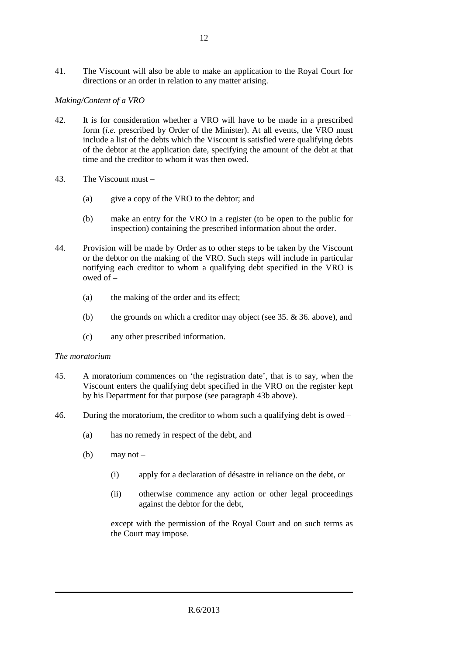41. The Viscount will also be able to make an application to the Royal Court for directions or an order in relation to any matter arising.

# *Making/Content of a VRO*

- 42. It is for consideration whether a VRO will have to be made in a prescribed form (*i.e.* prescribed by Order of the Minister). At all events, the VRO must include a list of the debts which the Viscount is satisfied were qualifying debts of the debtor at the application date, specifying the amount of the debt at that time and the creditor to whom it was then owed.
- 43. The Viscount must
	- (a) give a copy of the VRO to the debtor; and
	- (b) make an entry for the VRO in a register (to be open to the public for inspection) containing the prescribed information about the order.
- 44. Provision will be made by Order as to other steps to be taken by the Viscount or the debtor on the making of the VRO. Such steps will include in particular notifying each creditor to whom a qualifying debt specified in the VRO is owed of –
	- (a) the making of the order and its effect;
	- (b) the grounds on which a creditor may object (see 35. & 36. above), and
	- (c) any other prescribed information.

#### *The moratorium*

- 45. A moratorium commences on 'the registration date', that is to say, when the Viscount enters the qualifying debt specified in the VRO on the register kept by his Department for that purpose (see paragraph 43b above).
- 46. During the moratorium, the creditor to whom such a qualifying debt is owed
	- (a) has no remedy in respect of the debt, and
	- (b) may not
		- (i) apply for a declaration of désastre in reliance on the debt, or
		- (ii) otherwise commence any action or other legal proceedings against the debtor for the debt,

except with the permission of the Royal Court and on such terms as the Court may impose.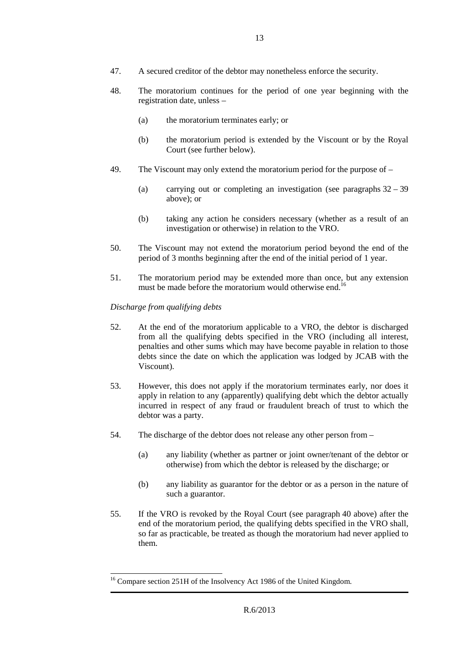- 47. A secured creditor of the debtor may nonetheless enforce the security.
- 48. The moratorium continues for the period of one year beginning with the registration date, unless –
	- (a) the moratorium terminates early; or
	- (b) the moratorium period is extended by the Viscount or by the Royal Court (see further below).
- 49. The Viscount may only extend the moratorium period for the purpose of
	- (a) carrying out or completing an investigation (see paragraphs 32 39 above); or
	- (b) taking any action he considers necessary (whether as a result of an investigation or otherwise) in relation to the VRO.
- 50. The Viscount may not extend the moratorium period beyond the end of the period of 3 months beginning after the end of the initial period of 1 year.
- 51. The moratorium period may be extended more than once, but any extension must be made before the moratorium would otherwise end.<sup>16</sup>

## *Discharge from qualifying debts*

 $\overline{a}$ 

- 52. At the end of the moratorium applicable to a VRO, the debtor is discharged from all the qualifying debts specified in the VRO (including all interest, penalties and other sums which may have become payable in relation to those debts since the date on which the application was lodged by JCAB with the Viscount).
- 53. However, this does not apply if the moratorium terminates early, nor does it apply in relation to any (apparently) qualifying debt which the debtor actually incurred in respect of any fraud or fraudulent breach of trust to which the debtor was a party.
- 54. The discharge of the debtor does not release any other person from
	- (a) any liability (whether as partner or joint owner/tenant of the debtor or otherwise) from which the debtor is released by the discharge; or
	- (b) any liability as guarantor for the debtor or as a person in the nature of such a guarantor.
- 55. If the VRO is revoked by the Royal Court (see paragraph 40 above) after the end of the moratorium period, the qualifying debts specified in the VRO shall, so far as practicable, be treated as though the moratorium had never applied to them.

<sup>&</sup>lt;sup>16</sup> Compare section 251H of the Insolvency Act 1986 of the United Kingdom.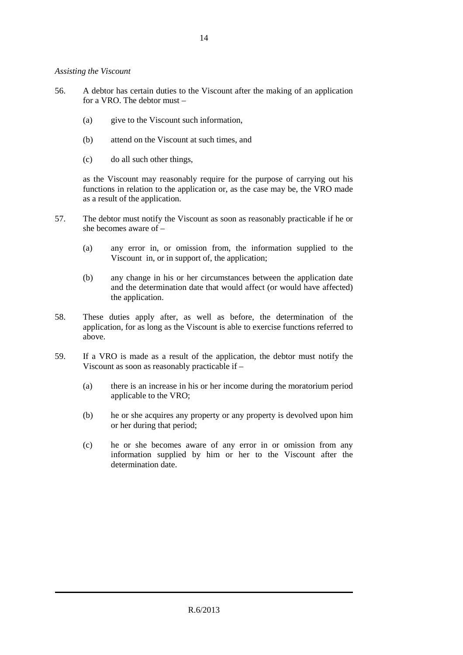*Assisting the Viscount* 

- 56. A debtor has certain duties to the Viscount after the making of an application for a VRO. The debtor must –
	- (a) give to the Viscount such information,
	- (b) attend on the Viscount at such times, and
	- (c) do all such other things,

as the Viscount may reasonably require for the purpose of carrying out his functions in relation to the application or, as the case may be, the VRO made as a result of the application.

- 57. The debtor must notify the Viscount as soon as reasonably practicable if he or she becomes aware of –
	- (a) any error in, or omission from, the information supplied to the Viscount in, or in support of, the application;
	- (b) any change in his or her circumstances between the application date and the determination date that would affect (or would have affected) the application.
- 58. These duties apply after, as well as before, the determination of the application, for as long as the Viscount is able to exercise functions referred to above.
- 59. If a VRO is made as a result of the application, the debtor must notify the Viscount as soon as reasonably practicable if –
	- (a) there is an increase in his or her income during the moratorium period applicable to the VRO;
	- (b) he or she acquires any property or any property is devolved upon him or her during that period;
	- (c) he or she becomes aware of any error in or omission from any information supplied by him or her to the Viscount after the determination date.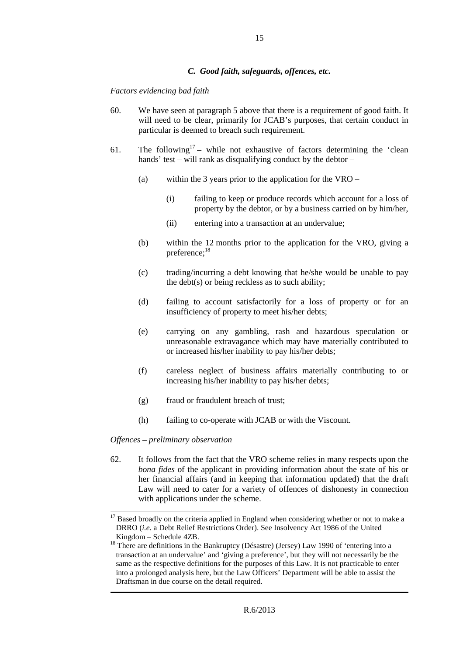#### *C. Good faith, safeguards, offences, etc.*

#### *Factors evidencing bad faith*

- 60. We have seen at paragraph 5 above that there is a requirement of good faith. It will need to be clear, primarily for JCAB's purposes, that certain conduct in particular is deemed to breach such requirement.
- 61. The following<sup>17</sup> while not exhaustive of factors determining the 'clean hands' test – will rank as disqualifying conduct by the debtor –
	- (a) within the 3 years prior to the application for the VRO
		- (i) failing to keep or produce records which account for a loss of property by the debtor, or by a business carried on by him/her,
		- (ii) entering into a transaction at an undervalue;
	- (b) within the 12 months prior to the application for the VRO, giving a preference;<sup>18</sup>
	- (c) trading/incurring a debt knowing that he/she would be unable to pay the debt(s) or being reckless as to such ability;
	- (d) failing to account satisfactorily for a loss of property or for an insufficiency of property to meet his/her debts;
	- (e) carrying on any gambling, rash and hazardous speculation or unreasonable extravagance which may have materially contributed to or increased his/her inability to pay his/her debts;
	- (f) careless neglect of business affairs materially contributing to or increasing his/her inability to pay his/her debts;
	- (g) fraud or fraudulent breach of trust;
	- (h) failing to co-operate with JCAB or with the Viscount.

*Offences – preliminary observation* 

62. It follows from the fact that the VRO scheme relies in many respects upon the *bona fides* of the applicant in providing information about the state of his or her financial affairs (and in keeping that information updated) that the draft Law will need to cater for a variety of offences of dishonesty in connection with applications under the scheme.

 $\overline{a}$  $17$  Based broadly on the criteria applied in England when considering whether or not to make a DRRO (*i.e.* a Debt Relief Restrictions Order). See Insolvency Act 1986 of the United Kingdom – Schedule 4ZB.

<sup>&</sup>lt;sup>18</sup> There are definitions in the Bankruptcy (Désastre) (Jersey) Law 1990 of 'entering into a transaction at an undervalue' and 'giving a preference', but they will not necessarily be the same as the respective definitions for the purposes of this Law. It is not practicable to enter into a prolonged analysis here, but the Law Officers' Department will be able to assist the Draftsman in due course on the detail required.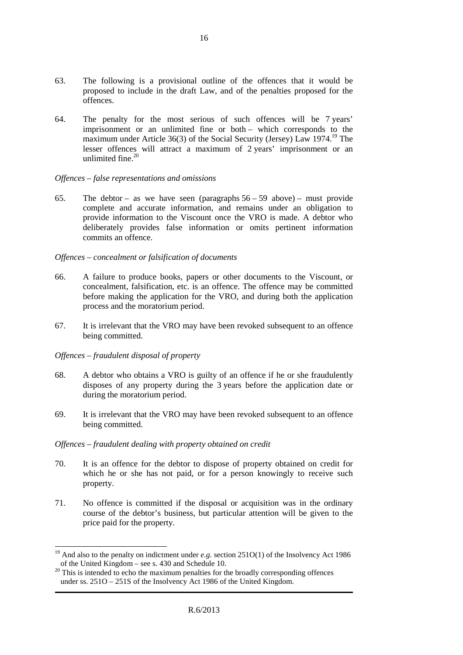- 63. The following is a provisional outline of the offences that it would be proposed to include in the draft Law, and of the penalties proposed for the offences.
- 64. The penalty for the most serious of such offences will be 7 years' imprisonment or an unlimited fine or both – which corresponds to the maximum under Article 36(3) of the Social Security (Jersey) Law 1974.<sup>19</sup> The lesser offences will attract a maximum of 2 years' imprisonment or an unlimited fine. $20$

#### *Offences – false representations and omissions*

65. The debtor – as we have seen (paragraphs  $56 - 59$  above) – must provide complete and accurate information, and remains under an obligation to provide information to the Viscount once the VRO is made. A debtor who deliberately provides false information or omits pertinent information commits an offence.

## *Offences – concealment or falsification of documents*

- 66. A failure to produce books, papers or other documents to the Viscount, or concealment, falsification, etc. is an offence. The offence may be committed before making the application for the VRO, and during both the application process and the moratorium period.
- 67. It is irrelevant that the VRO may have been revoked subsequent to an offence being committed.

# *Offences – fraudulent disposal of property*

 $\overline{a}$ 

- 68. A debtor who obtains a VRO is guilty of an offence if he or she fraudulently disposes of any property during the 3 years before the application date or during the moratorium period.
- 69. It is irrelevant that the VRO may have been revoked subsequent to an offence being committed.

# *Offences – fraudulent dealing with property obtained on credit*

- 70. It is an offence for the debtor to dispose of property obtained on credit for which he or she has not paid, or for a person knowingly to receive such property.
- 71. No offence is committed if the disposal or acquisition was in the ordinary course of the debtor's business, but particular attention will be given to the price paid for the property.

<sup>&</sup>lt;sup>19</sup> And also to the penalty on indictment under *e.g.* section 251O(1) of the Insolvency Act 1986 of the United Kingdom – see s. 430 and Schedule 10.

<sup>&</sup>lt;sup>20</sup> This is intended to echo the maximum penalties for the broadly corresponding offences under ss. 251O – 251S of the Insolvency Act 1986 of the United Kingdom.